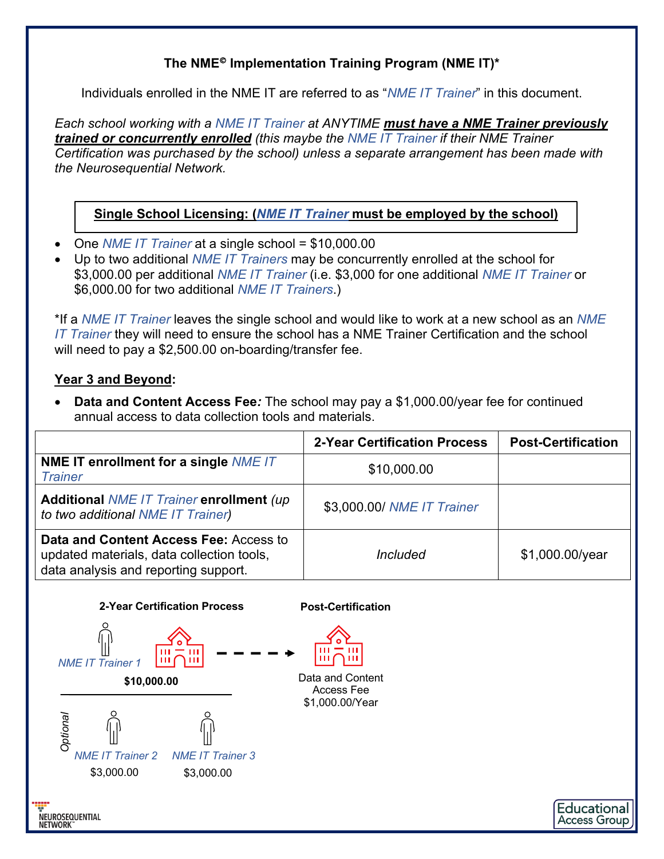## **The NME**<sup>Ó</sup> **Implementation Training Program (NME IT)\***

Individuals enrolled in the NME IT are referred to as "*NME IT Trainer*" in this document.

*Each school working with a NME IT Trainer at ANYTIME must have a NME Trainer previously trained or concurrently enrolled (this maybe the NME IT Trainer if their NME Trainer Certification was purchased by the school) unless a separate arrangement has been made with the Neurosequential Network.* 

**Single School Licensing: (***NME IT Trainer* **must be employed by the school)**

- One *NME IT Trainer* at a single school = \$10,000.00
- Up to two additional *NME IT Trainers* may be concurrently enrolled at the school for \$3,000.00 per additional *NME IT Trainer* (i.e. \$3,000 for one additional *NME IT Trainer* or \$6,000.00 for two additional *NME IT Trainers*.)

\*If a *NME IT Trainer* leaves the single school and would like to work at a new school as an *NME IT Trainer* they will need to ensure the school has a NME Trainer Certification and the school will need to pay a \$2,500.00 on-boarding/transfer fee.

## **Year 3 and Beyond:**

• **Data and Content Access Fee***:* The school may pay a \$1,000.00/year fee for continued annual access to data collection tools and materials.

|                                                                                                                             | <b>2-Year Certification Process</b> | <b>Post-Certification</b> |
|-----------------------------------------------------------------------------------------------------------------------------|-------------------------------------|---------------------------|
| <b>NME IT enrollment for a single NME IT</b><br><b>Trainer</b>                                                              | \$10,000.00                         |                           |
| <b>Additional NME IT Trainer enrollment (up</b><br>to two additional NME IT Trainer)                                        | \$3,000.00/ NME IT Trainer          |                           |
| Data and Content Access Fee: Access to<br>updated materials, data collection tools,<br>data analysis and reporting support. | <i>Included</i>                     | \$1,000.00/year           |